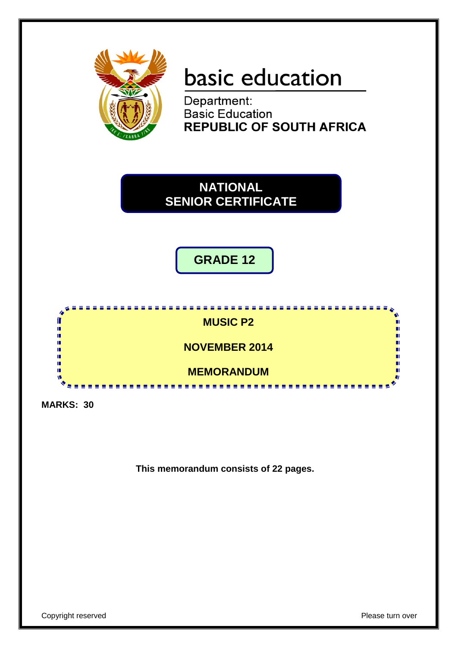

# basic education

Department: **Basic Education REPUBLIC OF SOUTH AFRICA** 



**GRADE 12**



**MARKS: 30**

**This memorandum consists of 22 pages.**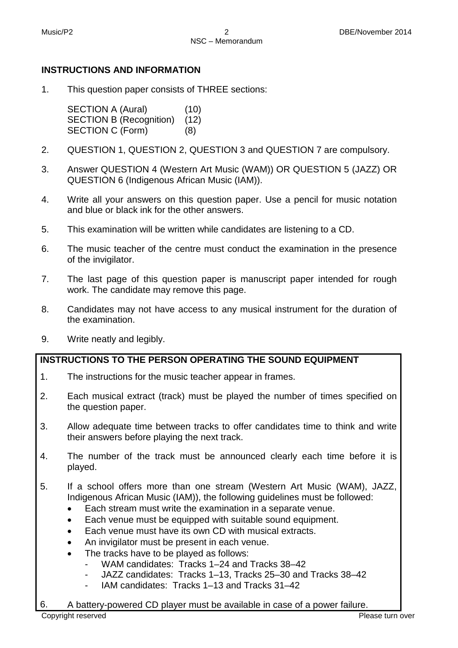## **INSTRUCTIONS AND INFORMATION**

1. This question paper consists of THREE sections:

> SECTION A (Aural) (10) SECTION B (Recognition) (12) SECTION C (Form) (8)

- 2. QUESTION 1, QUESTION 2, QUESTION 3 and QUESTION 7 are compulsory.
- 3. Answer QUESTION 4 (Western Art Music (WAM)) OR QUESTION 5 (JAZZ) OR QUESTION 6 (Indigenous African Music (IAM)).
- 4. Write all your answers on this question paper. Use a pencil for music notation and blue or black ink for the other answers.
- 5. This examination will be written while candidates are listening to a CD.
- 6. The music teacher of the centre must conduct the examination in the presence of the invigilator.
- 7. The last page of this question paper is manuscript paper intended for rough work. The candidate may remove this page.
- 8. Candidates may not have access to any musical instrument for the duration of the examination.
- 9. Write neatly and legibly.

## **INSTRUCTIONS TO THE PERSON OPERATING THE SOUND EQUIPMENT**

- 1. The instructions for the music teacher appear in frames.
- 2. Each musical extract (track) must be played the number of times specified on the question paper.
- 3. Allow adequate time between tracks to offer candidates time to think and write their answers before playing the next track.
- 4. The number of the track must be announced clearly each time before it is played.
- 5. If a school offers more than one stream (Western Art Music (WAM), JAZZ, Indigenous African Music (IAM)), the following guidelines must be followed:
	- Each stream must write the examination in a separate venue.
	- Each venue must be equipped with suitable sound equipment.
	- Each venue must have its own CD with musical extracts.
	- An invigilator must be present in each venue.
	- The tracks have to be played as follows:
		- WAM candidates: Tracks 1–24 and Tracks 38–42
		- JAZZ candidates: Tracks 1–13, Tracks 25–30 and Tracks 38–42
		- IAM candidates: Tracks 1–13 and Tracks 31–42
- 6. A battery-powered CD player must be available in case of a power failure.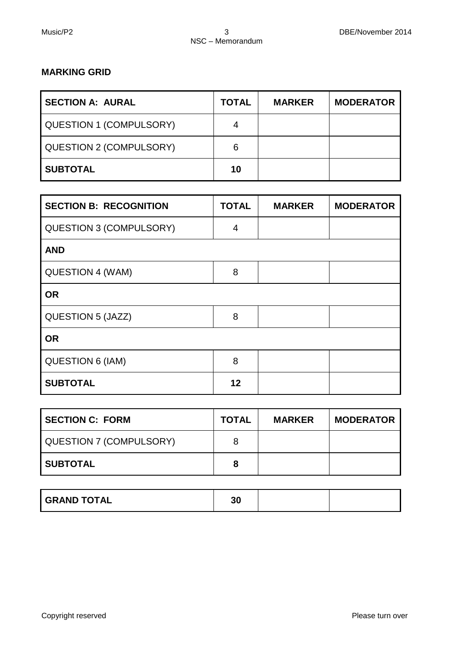## **MARKING GRID**

| <b>SECTION A: AURAL</b>        | <b>TOTAL</b> | <b>MARKER</b> | <b>MODERATOR</b> |
|--------------------------------|--------------|---------------|------------------|
| <b>QUESTION 1 (COMPULSORY)</b> | 4            |               |                  |
| <b>QUESTION 2 (COMPULSORY)</b> | 6            |               |                  |
| <b>SUBTOTAL</b>                | 10           |               |                  |

| <b>SECTION B: RECOGNITION</b>  | <b>TOTAL</b>   | <b>MARKER</b> | <b>MODERATOR</b> |
|--------------------------------|----------------|---------------|------------------|
| <b>QUESTION 3 (COMPULSORY)</b> | $\overline{4}$ |               |                  |
| <b>AND</b>                     |                |               |                  |
| QUESTION 4 (WAM)               | 8              |               |                  |
| <b>OR</b>                      |                |               |                  |
| <b>QUESTION 5 (JAZZ)</b>       | 8              |               |                  |
| <b>OR</b>                      |                |               |                  |
| QUESTION 6 (IAM)               | 8              |               |                  |
| <b>SUBTOTAL</b>                | 12             |               |                  |

| <b>SECTION C: FORM</b>  | <b>TOTAL</b> | <b>MARKER</b> | <b>MODERATOR</b> |
|-------------------------|--------------|---------------|------------------|
| QUESTION 7 (COMPULSORY) | 8            |               |                  |
| <b>SUBTOTAL</b>         | 8            |               |                  |

| <b>GRAND TOTAL</b> | 30 |  |  |
|--------------------|----|--|--|
|--------------------|----|--|--|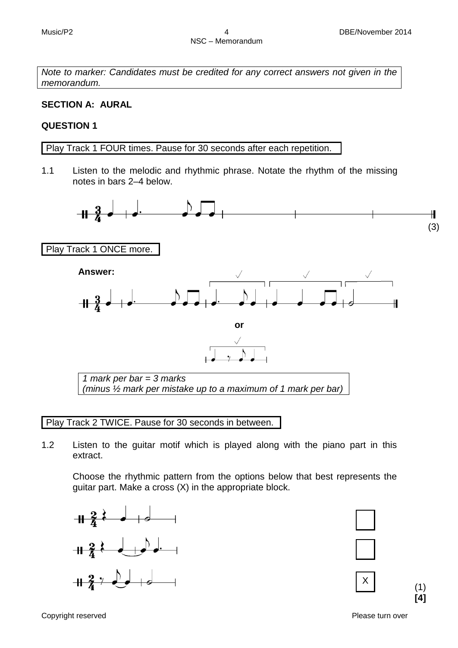*Note to marker: Candidates must be credited for any correct answers not given in the memorandum.*

## **SECTION A: AURAL**

## **QUESTION 1**

Play Track 1 FOUR times. Pause for 30 seconds after each repetition.

1.1 Listen to the melodic and rhythmic phrase. Notate the rhythm of the missing notes in bars 2–4 below.



Play Track 2 TWICE. Pause for 30 seconds in between.

1.2 Listen to the guitar motif which is played along with the piano part in this extract.

Choose the rhythmic pattern from the options below that best represents the guitar part. Make a cross (X) in the appropriate block.







Copyright reserved **Please turn over the Copyright reserved** Please turn over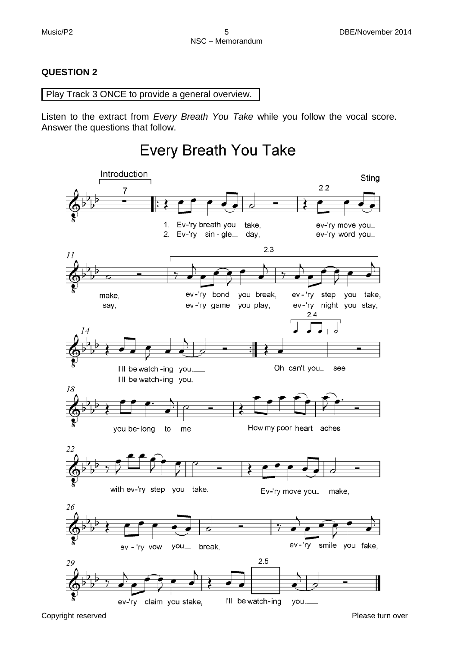## **QUESTION 2**

Play Track 3 ONCE to provide a general overview.

Listen to the extract from *Every Breath You Take* while you follow the vocal score. Answer the questions that follow.

## Every Breath You Take

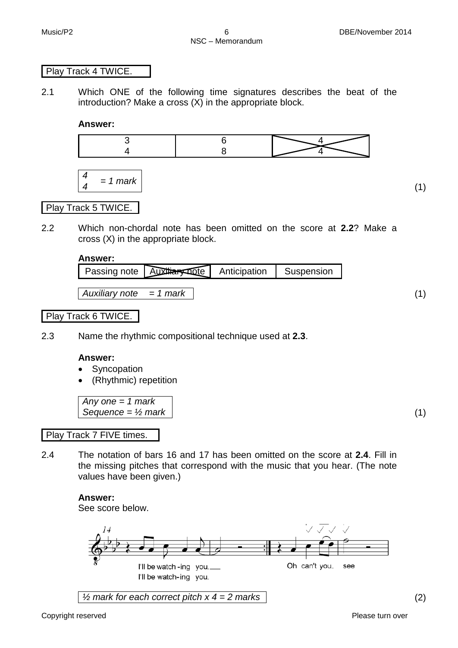#### Play Track 4 TWICE.

2.1 Which ONE of the following time signatures describes the beat of the introduction? Make a cross (X) in the appropriate block.

**Answer:**



$$
\begin{vmatrix} 4 \\ 4 \end{vmatrix} = 1
$$
 mark

(1)

## Play Track 5 TWICE.

2.2 Which non-chordal note has been omitted on the score at **2.2**? Make a cross (X) in the appropriate block.

#### **Answer:**

|                         | Passing note Auxtrary pote Anticipation Suspension |  |
|-------------------------|----------------------------------------------------|--|
| Auxiliary note = 1 mark |                                                    |  |
|                         |                                                    |  |

## Play Track 6 TWICE.

2.3 Name the rhythmic compositional technique used at **2.3**.

#### **Answer:**

- **Syncopation**
- (Rhythmic) repetition

*Any one = 1 mark Sequence = ½ mark* (1)

#### Play Track 7 FIVE times.

2.4 The notation of bars 16 and 17 has been omitted on the score at **2.4**. Fill in the missing pitches that correspond with the music that you hear. (The note values have been given.)

#### **Answer:**

See score below.

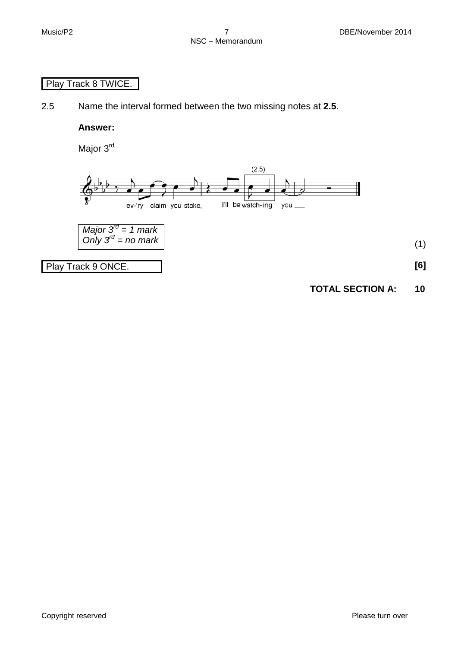## Play Track 8 TWICE.

2.5 Name the interval formed between the two missing notes at **2.5**.

**Answer:**

Major 3<sup>rd</sup>



**TOTAL SECTION A: 10**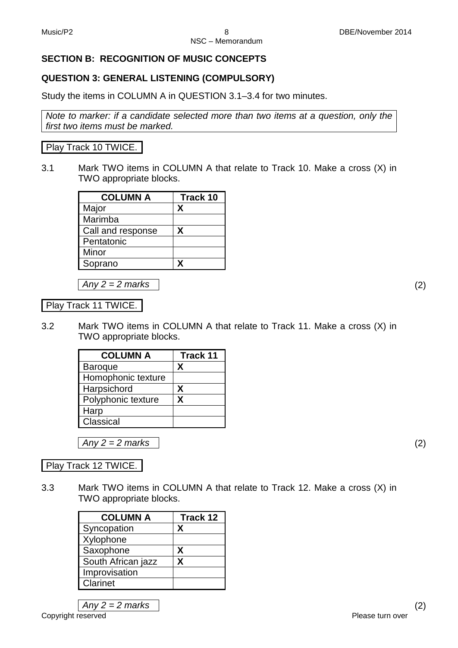## **SECTION B: RECOGNITION OF MUSIC CONCEPTS**

## **QUESTION 3: GENERAL LISTENING (COMPULSORY)**

Study the items in COLUMN A in QUESTION 3.1–3.4 for two minutes.

*Note to marker: if a candidate selected more than two items at a question, only the first two items must be marked.*

## Play Track 10 TWICE.

3.1 Mark TWO items in COLUMN A that relate to Track 10. Make a cross (X) in TWO appropriate blocks.

| <b>COLUMN A</b>   | <b>Track 10</b> |
|-------------------|-----------------|
| Major             | Χ               |
| Marimba           |                 |
| Call and response | X               |
| Pentatonic        |                 |
| Minor             |                 |
| Soprano           |                 |

*Any 2 = 2 marks* (2)

Play Track 11 TWICE.

3.2 Mark TWO items in COLUMN A that relate to Track 11. Make a cross (X) in TWO appropriate blocks.

| <b>COLUMN A</b>    | <b>Track 11</b> |
|--------------------|-----------------|
| <b>Baroque</b>     | X               |
| Homophonic texture |                 |
| Harpsichord        | X               |
| Polyphonic texture | x               |
| Harp               |                 |
| Classical          |                 |

*Any 2 = 2 marks* (2)

Play Track 12 TWICE.

3.3 Mark TWO items in COLUMN A that relate to Track 12. Make a cross (X) in TWO appropriate blocks.

| <b>COLUMN A</b>    | Track 12 |
|--------------------|----------|
| Syncopation        | x        |
| Xylophone          |          |
| Saxophone          | х        |
| South African jazz | x        |
| Improvisation      |          |
| Clarinet           |          |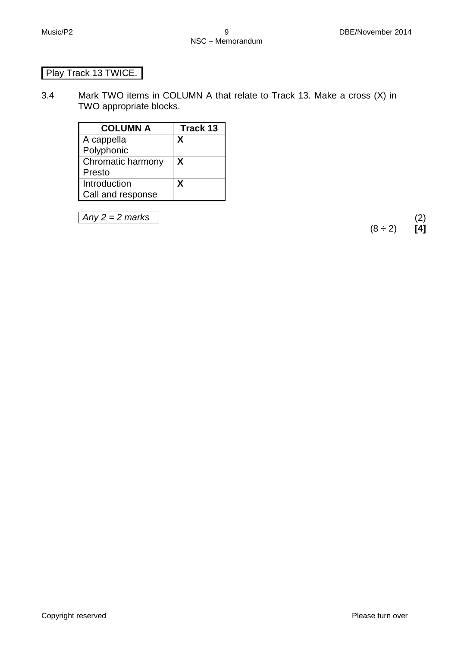## Play Track 13 TWICE.

3.4 Mark TWO items in COLUMN A that relate to Track 13. Make a cross (X) in TWO appropriate blocks.

| <b>COLUMN A</b>   | <b>Track 13</b> |
|-------------------|-----------------|
| A cappella        | x               |
| Polyphonic        |                 |
| Chromatic harmony | X               |
| Presto            |                 |
| Introduction      | X               |
| Call and response |                 |

*Any 2 = 2 marks* (2)  $(8 \div 2)$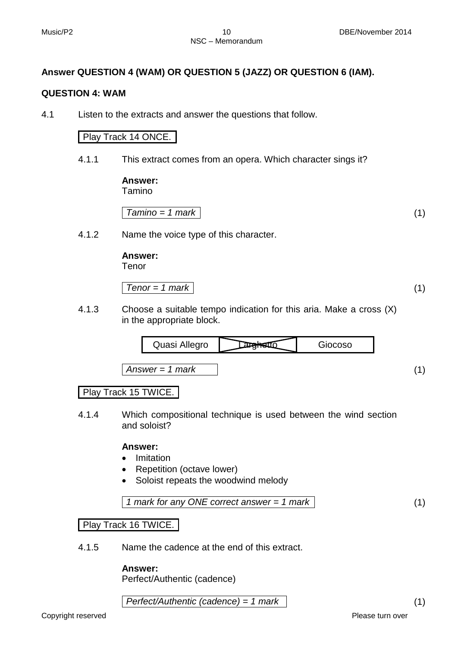## **Answer QUESTION 4 (WAM) OR QUESTION 5 (JAZZ) OR QUESTION 6 (IAM).**

#### **QUESTION 4: WAM**

4.1 Listen to the extracts and answer the questions that follow.

## Play Track 14 ONCE.

4.1.1 This extract comes from an opera. Which character sings it?

**Answer:**

Tamino

$$
Tamino = 1 mark
$$
 (1)

4.1.2 Name the voice type of this character.

**Answer:** Tenor

$$
Tenor = 1 mark
$$
 (1)

4.1.3 Choose a suitable tempo indication for this aria. Make a cross (X) in the appropriate block.



## Play Track 15 TWICE.

4.1.4 Which compositional technique is used between the wind section and soloist?

#### **Answer:**

- Imitation
- Repetition (octave lower)
- Soloist repeats the woodwind melody

$$
1 mark for any ONE correct answer = 1 mark
$$
\n
$$
(1)
$$

Play Track 16 TWICE.

4.1.5 Name the cadence at the end of this extract.

## **Answer:**

Perfect/Authentic (cadence)

*Perfect/Authentic (cadence) = 1 mark* (1)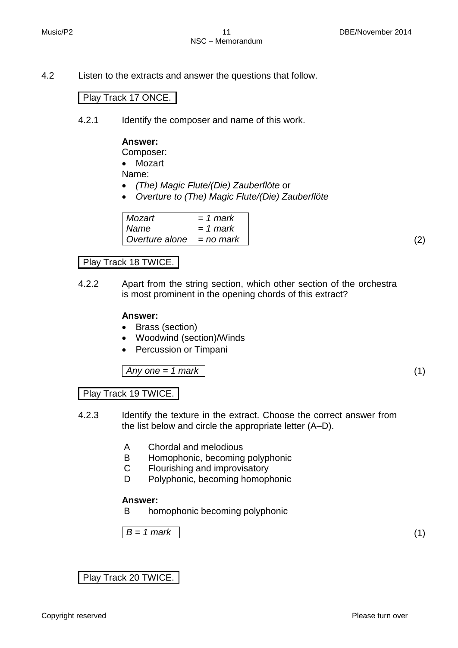4.2 Listen to the extracts and answer the questions that follow.

## Play Track 17 ONCE.

4.2.1 Identify the composer and name of this work.

## **Answer:**

Composer:

• Mozart

Name:

- *(The) Magic Flute/(Die) Zauberflöte* or
- *Overture to (The) Magic Flute/(Die) Zauberflöte*

| Mozart                     | $= 1$ mark |
|----------------------------|------------|
| Name                       | $= 1$ mark |
| Overture alone $=$ no mark |            |

## Play Track 18 TWICE.

4.2.2 Apart from the string section, which other section of the orchestra is most prominent in the opening chords of this extract?

## **Answer:**

- Brass (section)
- Woodwind (section)/Winds
- Percussion or Timpani

*Any one = 1 mark* (1)

## Play Track 19 TWICE.

- 4.2.3 Identify the texture in the extract. Choose the correct answer from the list below and circle the appropriate letter (A–D).
	- A Chordal and melodious
	- B Homophonic, becoming polyphonic
	- C Flourishing and improvisatory
	- D Polyphonic, becoming homophonic

#### **Answer:**

B homophonic becoming polyphonic

 $B = 1$  mark (1)

Play Track 20 TWICE.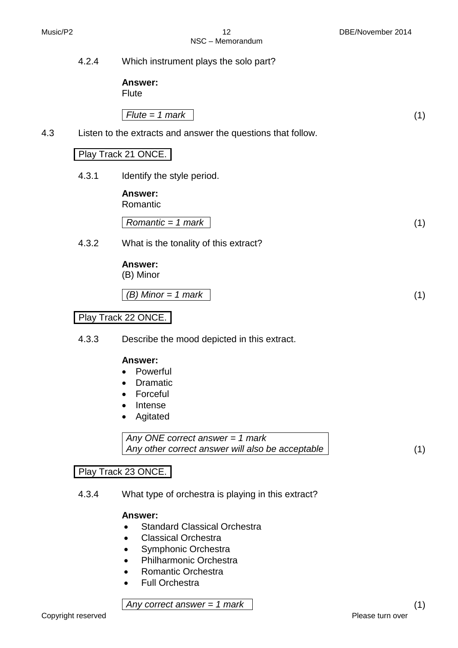|     | 4.2.4 | Which instrument plays the solo part?                                                                                         |     |
|-----|-------|-------------------------------------------------------------------------------------------------------------------------------|-----|
|     |       | <b>Answer:</b><br>Flute                                                                                                       |     |
|     |       | $Flute = 1 mark$                                                                                                              | (1) |
| 4.3 |       | Listen to the extracts and answer the questions that follow.                                                                  |     |
|     |       | Play Track 21 ONCE.                                                                                                           |     |
|     | 4.3.1 | Identify the style period.                                                                                                    |     |
|     |       | Answer:<br>Romantic                                                                                                           |     |
|     |       | Romantic = $1$ mark                                                                                                           | (1) |
|     | 4.3.2 | What is the tonality of this extract?                                                                                         |     |
|     |       | Answer:<br>(B) Minor                                                                                                          |     |
|     |       | $(B)$ Minor = 1 mark                                                                                                          | (1) |
|     |       | Play Track 22 ONCE.                                                                                                           |     |
|     | 4.3.3 | Describe the mood depicted in this extract.                                                                                   |     |
|     |       | Answer:<br>Powerful<br>$\bullet$<br><b>Dramatic</b><br>$\bullet$<br>Forceful<br>$\bullet$<br>Intense<br>$\bullet$<br>Agitated |     |
|     |       | Any ONE correct answer = $1$ mark                                                                                             |     |

*Any other correct answer will also be acceptable* (1)

## Play Track 23 ONCE.

4.3.4 What type of orchestra is playing in this extract?

## **Answer:**

- Standard Classical Orchestra
- Classical Orchestra
- Symphonic Orchestra
- Philharmonic Orchestra
- Romantic Orchestra
- Full Orchestra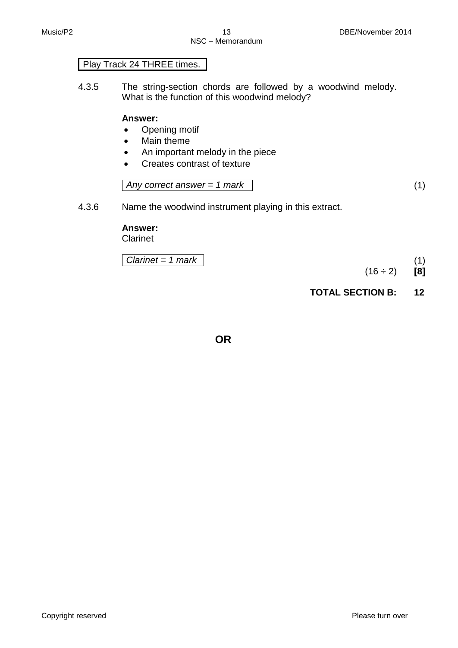## Play Track 24 THREE times.

4.3.5 The string-section chords are followed by a woodwind melody. What is the function of this woodwind melody?

#### **Answer:**

- Opening motif
- Main theme
- An important melody in the piece
- Creates contrast of texture

*Any correct answer = 1 mark* (1)

4.3.6 Name the woodwind instrument playing in this extract.

## **Answer:**

Clarinet

| Clarinet = $1$ mark |  |
|---------------------|--|
|---------------------|--|

 $(16 \div 2)$  [8]

**TOTAL SECTION B: 12**

**OR**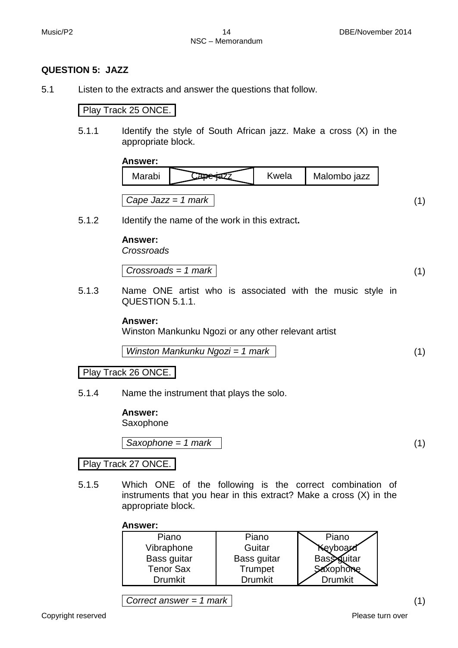## **QUESTION 5: JAZZ**

5.1 Listen to the extracts and answer the questions that follow.

Play Track 25 ONCE.

5.1.1 Identify the style of South African jazz. Make a cross (X) in the appropriate block.

**Answer:**

5.1.2 Identify the name of the work in this extract**.**

**Answer:**

*Crossroads*

$$
Crossroads = 1 mark
$$
 (1)

5.1.3 Name ONE artist who is associated with the music style in QUESTION 5.1.1.

#### **Answer:**

Winston Mankunku Ngozi or any other relevant artist

$$
Winstein Mankunku Ngozi = 1 mark
$$
\n
$$
(1)
$$

Play Track 26 ONCE.

5.1.4 Name the instrument that plays the solo.

**Answer:** 

Saxophone

*Saxophone = 1 mark* (1)

Play Track 27 ONCE.

5.1.5 Which ONE of the following is the correct combination of instruments that you hear in this extract? Make a cross (X) in the appropriate block.

#### **Answer:**

| Piano            | Piano          | Piano             |
|------------------|----------------|-------------------|
| Vibraphone       | Guitar         | Keyboard          |
| Bass guitar      | Bass guitar    | <b>Bass</b> uitar |
| <b>Tenor Sax</b> | Trumpet        | Saxophone         |
| <b>Drumkit</b>   | <b>Drumkit</b> | <b>Drumkit</b>    |

*Correct answer = 1 mark* (1)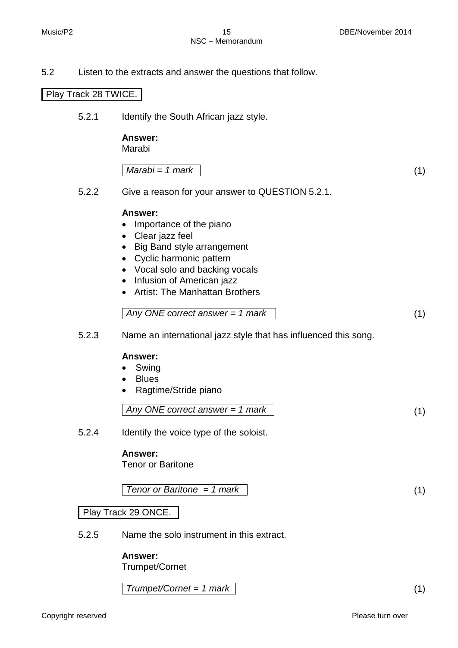5.2 Listen to the extracts and answer the questions that follow.

## Play Track 28 TWICE.

5.2.1 Identify the South African jazz style.

#### **Answer:**

Marabi

$$
Marabi = 1 mark
$$
 (1)

5.2.2 Give a reason for your answer to QUESTION 5.2.1.

#### **Answer:**

- Importance of the piano
- Clear jazz feel
- Big Band style arrangement
- Cyclic harmonic pattern
- Vocal solo and backing vocals
- Infusion of American jazz
- Artist: The Manhattan Brothers

$$
Any ONE correct answer = 1 mark
$$
\n
$$
(1)
$$

5.2.3 Name an international jazz style that has influenced this song.

#### **Answer:**

- Swing
- Blues
- Ragtime/Stride piano

$$
Any ONE correct answer = 1 mark
$$
\n
$$
(1)
$$

5.2.4 Identify the voice type of the soloist.

#### **Answer:**

Tenor or Baritone

$$
Tenor or Baritone = 1 mark
$$
\n
$$
(1)
$$

Play Track 29 ONCE.

5.2.5 Name the solo instrument in this extract.

#### **Answer:**

Trumpet/Cornet

*Trumpet/Cornet = 1 mark* (1)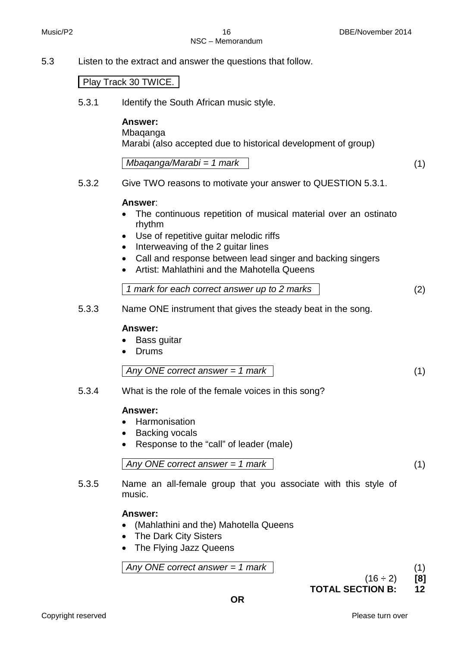NSC – Memorandum

5.3 Listen to the extract and answer the questions that follow.

## Play Track 30 TWICE.

5.3.1 Identify the South African music style.

## **Answer:**

Mbaqanga

Marabi (also accepted due to historical development of group)

*Mbaqanga/Marabi = 1 mark* (1)

5.3.2 Give TWO reasons to motivate your answer to QUESTION 5.3.1.

## **Answer**:

- The continuous repetition of musical material over an ostinato rhythm
- Use of repetitive guitar melodic riffs
- Interweaving of the 2 guitar lines
- Call and response between lead singer and backing singers
- Artist: Mahlathini and the Mahotella Queens

| 1 mark for each correct answer up to 2 marks |
|----------------------------------------------|
|----------------------------------------------|

5.3.3 Name ONE instrument that gives the steady beat in the song.

#### **Answer:**

- Bass guitar
- Drums

*Any ONE correct answer = 1 mark* (1)

5.3.4 What is the role of the female voices in this song?

## **Answer:**

- Harmonisation
- Backing vocals
- Response to the "call" of leader (male)

Any ONE correct answer = 
$$
1
$$
 mark 
$$
\tag{1}
$$

5.3.5 Name an all-female group that you associate with this style of music.

## **Answer:**

 $\mathbf{I}$ 

- (Mahlathini and the) Mahotella Queens
- The Dark City Sisters
- The Flying Jazz Queens

Any ONE correct answer = 
$$
1
$$
 mark 
$$
\tag{1}
$$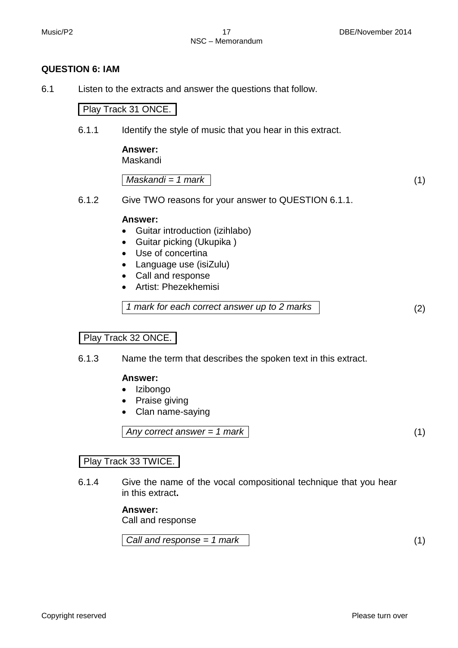## **QUESTION 6: IAM**

6.1 Listen to the extracts and answer the questions that follow.

Play Track 31 ONCE.

6.1.1 Identify the style of music that you hear in this extract.

**Answer:**

Maskandi

*Maskandi = 1 mark* (1)

6.1.2 Give TWO reasons for your answer to QUESTION 6.1.1.

#### **Answer:**

- Guitar introduction (izihlabo)
- Guitar picking (Ukupika )
- Use of concertina
- Language use (isiZulu)
- Call and response
- Artist: Phezekhemisi

*1 mark for each correct answer up to 2 marks* (2)

## Play Track 32 ONCE.

6.1.3 Name the term that describes the spoken text in this extract.

#### **Answer:**

- Izibongo
- Praise giving
- Clan name-saying

#### *Any correct answer = 1 mark* (1)

## Play Track 33 TWICE.

6.1.4 Give the name of the vocal compositional technique that you hear in this extract**.**

#### **Answer:**

Call and response

*Call and response = 1 mark* (1)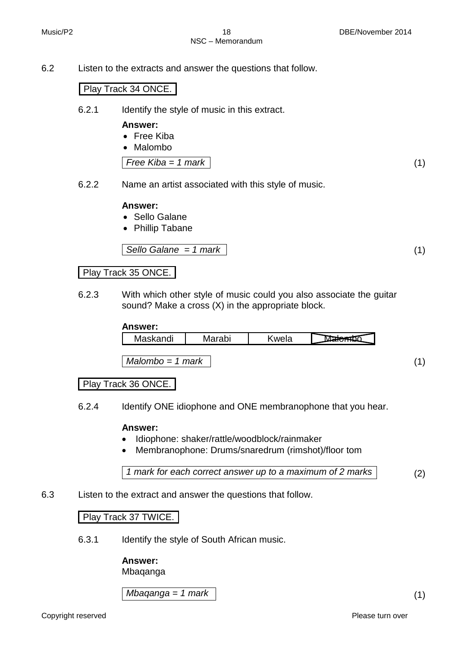6.2 Listen to the extracts and answer the questions that follow.

## Play Track 34 ONCE.

6.2.1 Identify the style of music in this extract.

#### **Answer:**

- Free Kiba
- Malombo

*Free Kiba = 1 mark* (1)

6.2.2 Name an artist associated with this style of music.

## **Answer:**

- Sello Galane
- Phillip Tabane

$$
Sello Galane = 1 mark
$$
\n
$$
(1)
$$

## Play Track 35 ONCE.

6.2.3 With which other style of music could you also associate the guitar sound? Make a cross (X) in the appropriate block.

#### **Answer:**

| <br>n n di<br>∷ اا∪ا ایت. | . .<br>avı | M<br>אוכ |  |
|---------------------------|------------|----------|--|
|                           |            |          |  |

*Malombo = 1 mark* (1)

## Play Track 36 ONCE.

6.2.4 Identify ONE idiophone and ONE membranophone that you hear.

## **Answer:**

- Idiophone: shaker/rattle/woodblock/rainmaker
- Membranophone: Drums/snaredrum (rimshot)/floor tom

```
1 mark for each correct answer up to a maximum of 2 marks (2)
```
6.3 Listen to the extract and answer the questions that follow.

## Play Track 37 TWICE.

6.3.1 Identify the style of South African music.

#### **Answer:**

Mbaqanga

*Mbaqanga = 1 mark* (1)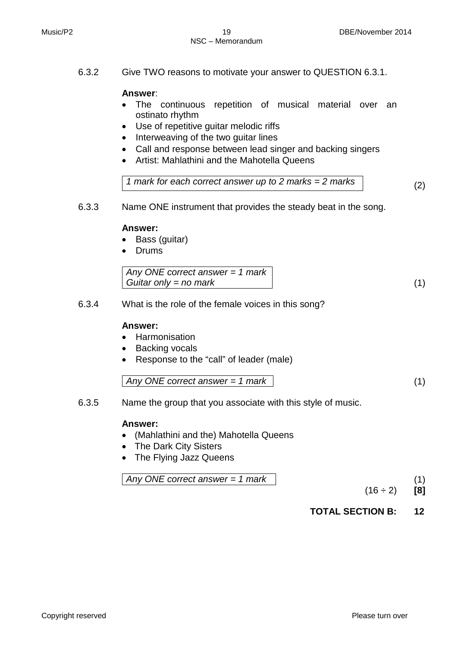6.3.2 Give TWO reasons to motivate your answer to QUESTION 6.3.1.

## **Answer**:

- The continuous repetition of musical material over an ostinato rhythm
- Use of repetitive guitar melodic riffs
- Interweaving of the two guitar lines
- Call and response between lead singer and backing singers
- Artist: Mahlathini and the Mahotella Queens

*1 mark for each correct answer up to 2 marks = 2 marks* (2)

6.3.3 Name ONE instrument that provides the steady beat in the song.

## **Answer:**

- Bass (guitar)
- Drums

6.3.4 What is the role of the female voices in this song?

#### **Answer:**

- Harmonisation
- **Backing vocals**
- Response to the "call" of leader (male)

*Any ONE correct answer = 1 mark* (1)

6.3.5 Name the group that you associate with this style of music.

## **Answer:**

- (Mahlathini and the) Mahotella Queens
- The Dark City Sisters
- The Flying Jazz Queens

Any ONE correct answer = 
$$
1
$$
 mark (1)

 $(16 \div 2)$  [8]

**TOTAL SECTION B: 12**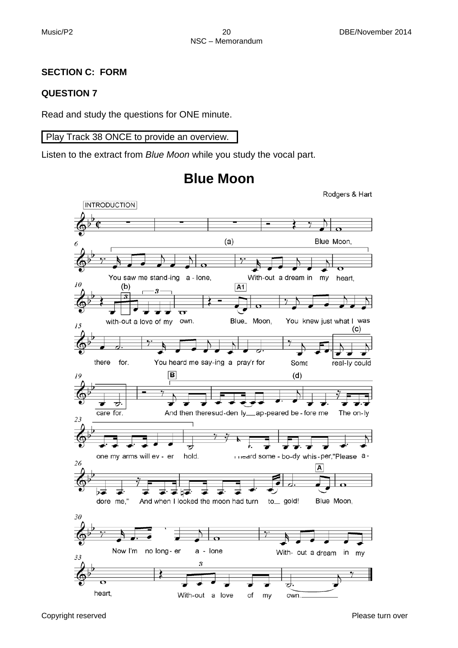## **SECTION C: FORM**

## **QUESTION 7**

Read and study the questions for ONE minute.

## Play Track 38 ONCE to provide an overview.

Listen to the extract from *Blue Moon* while you study the vocal part.



## **Blue Moon**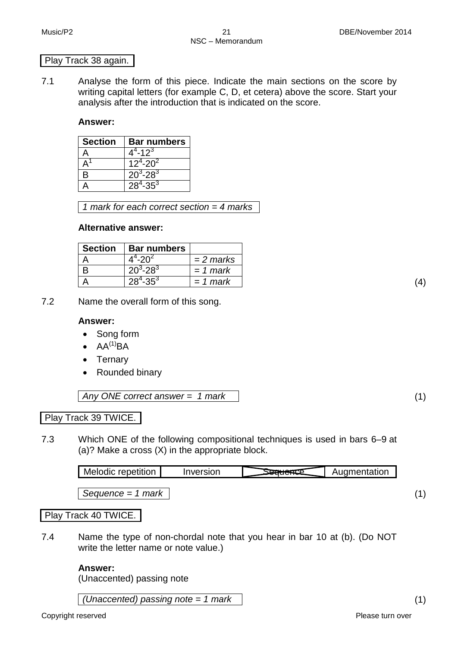#### Play Track 38 again.

7.1 Analyse the form of this piece. Indicate the main sections on the score by writing capital letters (for example C, D, et cetera) above the score. Start your analysis after the introduction that is indicated on the score.

## **Answer:**

| <b>Section</b> | <b>Bar numbers</b> |
|----------------|--------------------|
|                | $4^4 - 12^3$       |
|                | $12^4 - 20^2$      |
| В              | $20^3 - 28^3$      |
|                | $28^4 - 35^3$      |

*1 mark for each correct section = 4 marks*

## **Alternative answer:**

| <b>Section</b> | <b>Bar numbers</b> |             |
|----------------|--------------------|-------------|
|                | $4^4 - 20^2$       | $= 2$ marks |
|                | $20^3 - 28^3$      | $= 1$ mark  |
|                | $28^4 - 35^3$      | $= 1$ mark  |

7.2 Name the overall form of this song.

## **Answer:**

- Song form
- $\bullet$  AA<sup>(1)</sup>BA
- Ternary
- Rounded binary

*Any ONE correct answer = 1 mark* (1)

## Play Track 39 TWICE.

7.3 Which ONE of the following compositional techniques is used in bars 6–9 at (a)? Make a cross (X) in the appropriate block.

| repetition<br><b>NIGIOCIC</b> | .<br>IOL<br>. I V F | .<br>ientation |
|-------------------------------|---------------------|----------------|
|                               |                     |                |

*Sequence = 1 mark* (1)

## Play Track 40 TWICE.

7.4 Name the type of non-chordal note that you hear in bar 10 at (b). (Do NOT write the letter name or note value.)

## **Answer:**

(Unaccented) passing note

*(Unaccented) passing note = 1 mark* (1)